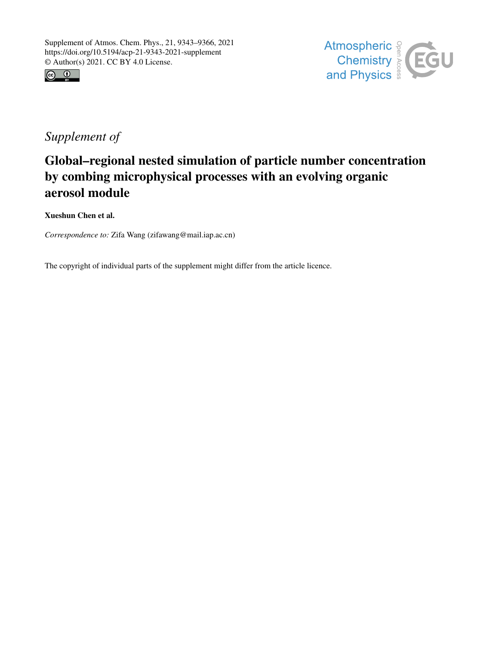



## *Supplement of*

## Global–regional nested simulation of particle number concentration by combing microphysical processes with an evolving organic aerosol module

Xueshun Chen et al.

*Correspondence to:* Zifa Wang (zifawang@mail.iap.ac.cn)

The copyright of individual parts of the supplement might differ from the article licence.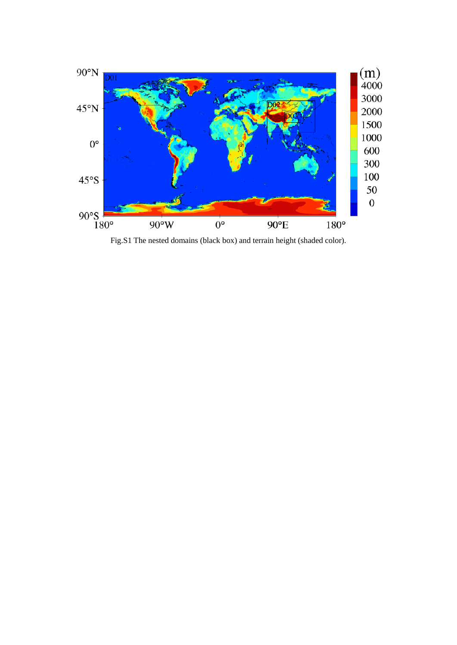

Fig.S1 The nested domains (black box) and terrain height (shaded color).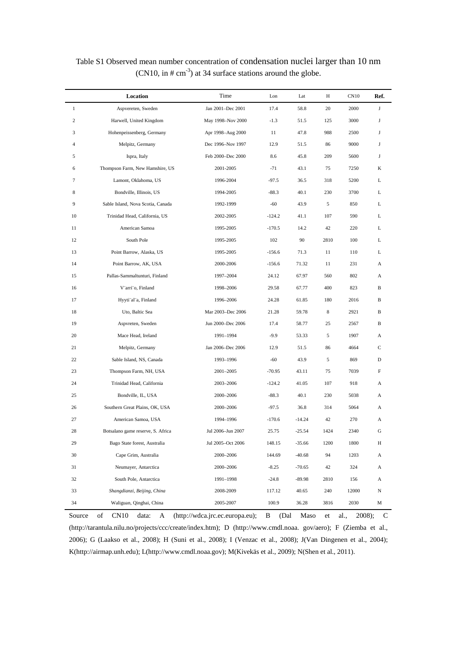|                  | Location                          | Time              | Lon      | Lat      | Η    | CN10  | Ref. |
|------------------|-----------------------------------|-------------------|----------|----------|------|-------|------|
| $\mathbf{1}$     | Aspvereten, Sweden                | Jan 2001-Dec 2001 | 17.4     | 58.8     | 20   | 2000  | J    |
| $\boldsymbol{2}$ | Harwell, United Kingdom           | May 1998-Nov 2000 | $-1.3$   | 51.5     | 125  | 3000  | J    |
| 3                | Hohenpeissenberg, Germany         | Apr 1998-Aug 2000 | 11       | 47.8     | 988  | 2500  | J    |
| $\overline{4}$   | Melpitz, Germany                  | Dec 1996-Nov 1997 | 12.9     | 51.5     | 86   | 9000  | J    |
| 5                | Ispra, Italy                      | Feb 2000-Dec 2000 | 8.6      | 45.8     | 209  | 5600  | J    |
| 6                | Thompson Farm, New Hamshire, US   | 2001-2005         | $-71$    | 43.1     | 75   | 7250  | K    |
| 7                | Lamont, Oklahoma, US              | 1996-2004         | $-97.5$  | 36.5     | 318  | 5200  | L    |
| 8                | Bondville, Illinois, US           | 1994-2005         | $-88.3$  | 40.1     | 230  | 3700  | L    |
| 9                | Sable Island, Nova Scotia, Canada | 1992-1999         | $-60$    | 43.9     | 5    | 850   | L    |
| 10               | Trinidad Head, California, US     | 2002-2005         | $-124.2$ | 41.1     | 107  | 590   | L    |
| 11               | American Samoa                    | 1995-2005         | $-170.5$ | 14.2     | 42   | 220   | L    |
| 12               | South Pole                        | 1995-2005         | 102      | 90       | 2810 | 100   | L    |
| 13               | Point Barrow, Alaska, US          | 1995-2005         | $-156.6$ | 71.3     | 11   | 110   | L    |
| 14               | Point Barrow, AK, USA             | 2000-2006         | $-156.6$ | 71.32    | 11   | 231   | А    |
| 15               | Pallas-Sammaltunturi, Finland     | 1997-2004         | 24.12    | 67.97    | 560  | 802   | А    |
| 16               | V"arri"o, Finland                 | 1998-2006         | 29.58    | 67.77    | 400  | 823   | B    |
| 17               | Hyyti"al"a, Finland               | 1996-2006         | 24.28    | 61.85    | 180  | 2016  | В    |
| 18               | Uto, Baltic Sea                   | Mar 2003-Dec 2006 | 21.28    | 59.78    | 8    | 2921  | B    |
| 19               | Aspvreten, Sweden                 | Jun 2000-Dec 2006 | 17.4     | 58.77    | 25   | 2567  | B    |
| 20               | Mace Head, Ireland                | 1991-1994         | $-9.9$   | 53.33    | 5    | 1907  | А    |
| 21               | Melpitz, Germany                  | Jan 2006-Dec 2006 | 12.9     | 51.5     | 86   | 4664  | C    |
| 22               | Sable Island, NS, Canada          | 1993-1996         | -60      | 43.9     | 5    | 869   | D    |
| 23               | Thompson Farm, NH, USA            | 2001-2005         | $-70.95$ | 43.11    | 75   | 7039  | F    |
| 24               | Trinidad Head, California         | 2003-2006         | $-124.2$ | 41.05    | 107  | 918   | А    |
| 25               | Bondville, IL, USA                | 2000-2006         | $-88.3$  | 40.1     | 230  | 5038  | А    |
| 26               | Southern Great Plains, OK, USA    | 2000-2006         | $-97.5$  | 36.8     | 314  | 5064  | А    |
| 27               | American Samoa, USA               | 1994-1996         | $-170.6$ | $-14.24$ | 42   | 270   | А    |
| 28               | Botsalano game reserve, S. Africa | Jul 2006-Jun 2007 | 25.75    | $-25.54$ | 1424 | 2340  | G    |
| 29               | Bago State forest, Australia      | Jul 2005-Oct 2006 | 148.15   | $-35.66$ | 1200 | 1800  | Н    |
| 30               | Cape Grim, Australia              | 2000-2006         | 144.69   | $-40.68$ | 94   | 1203  | A    |
| 31               | Neumayer, Antarctica              | 2000-2006         | $-8.25$  | $-70.65$ | 42   | 324   | A    |
| 32               | South Pole, Antarctica            | 1991-1998         | $-24.8$  | $-89.98$ | 2810 | 156   | A    |
| 33               | Shangdianzi, Beijing, China       | 2008-2009         | 117.12   | 40.65    | 240  | 12000 | N    |
| 34               | Waliguan, Qinghai, China          | 2005-2007         | 100.9    | 36.28    | 3816 | 2030  | М    |

Table S1 Observed mean number concentration of condensation nuclei larger than 10 nm (CN10, in  $\# \text{ cm}^{-3}$ ) at 34 surface stations around the globe.

Source of CN10 data: A (http://wdca.jrc.ec.europa.eu); B (Dal Maso et al., 2008); C (http://tarantula.nilu.no/projects/ccc/create/index.htm); D (http://www.cmdl.noaa. gov/aero); F (Ziemba et al., 2006); G (Laakso et al., 2008); H (Suni et al., 2008); I (Venzac et al., 2008); J(Van Dingenen et al., 2004); K(http://airmap.unh.edu); L(http://www.cmdl.noaa.gov); M(Kivekäs et al., 2009); N(Shen et al., 2011).